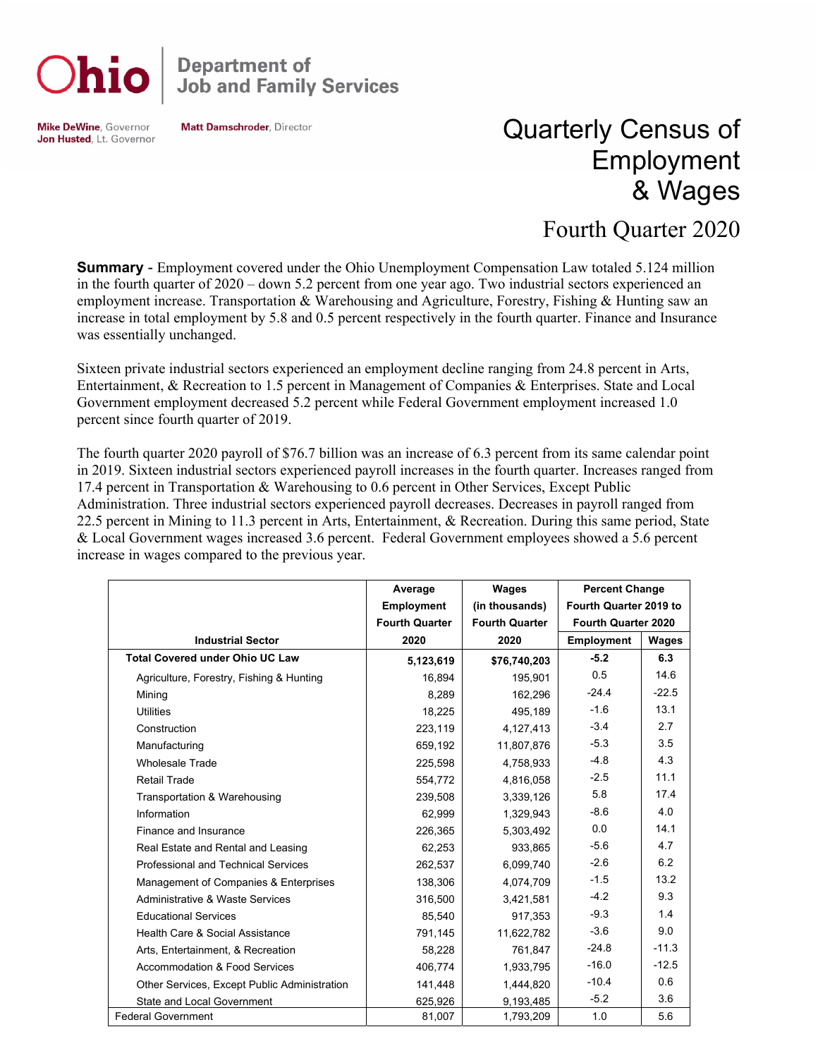

**Department of<br>Job and Family Services** 

**Mike DeWine, Governor** Jon Husted, Lt. Governor **Matt Damschroder, Director** 

## Quarterly Census of Employment & Wages

## Fourth Quarter 2020

**Summary** - Employment covered under the Ohio Unemployment Compensation Law totaled 5.124 million in the fourth quarter of 2020 – down 5.2 percent from one year ago. Two industrial sectors experienced an employment increase. Transportation & Warehousing and Agriculture, Forestry, Fishing & Hunting saw an increase in total employment by 5.8 and 0.5 percent respectively in the fourth quarter. Finance and Insurance was essentially unchanged.

Sixteen private industrial sectors experienced an employment decline ranging from 24.8 percent in Arts, Entertainment, & Recreation to 1.5 percent in Management of Companies & Enterprises. State and Local Government employment decreased 5.2 percent while Federal Government employment increased 1.0 percent since fourth quarter of 2019.

The fourth quarter 2020 payroll of \$76.7 billion was an increase of 6.3 percent from its same calendar point in 2019. Sixteen industrial sectors experienced payroll increases in the fourth quarter. Increases ranged from 17.4 percent in Transportation & Warehousing to 0.6 percent in Other Services, Except Public Administration. Three industrial sectors experienced payroll decreases. Decreases in payroll ranged from 22.5 percent in Mining to 11.3 percent in Arts, Entertainment, & Recreation. During this same period, State & Local Government wages increased 3.6 percent. Federal Government employees showed a 5.6 percent increase in wages compared to the previous year.

|                                              | Average               | Wages                 | <b>Percent Change</b>  |         |
|----------------------------------------------|-----------------------|-----------------------|------------------------|---------|
|                                              | <b>Employment</b>     | (in thousands)        | Fourth Quarter 2019 to |         |
|                                              | <b>Fourth Quarter</b> | <b>Fourth Quarter</b> | Fourth Quarter 2020    |         |
| <b>Industrial Sector</b>                     | 2020                  | 2020                  | <b>Employment</b>      | Wages   |
| <b>Total Covered under Ohio UC Law</b>       | 5,123,619             | \$76,740,203          | $-5.2$                 | 6.3     |
| Agriculture, Forestry, Fishing & Hunting     | 16,894                | 195,901               | 0.5                    | 14.6    |
| Mining                                       | 8,289                 | 162,296               | $-24.4$                | $-22.5$ |
| <b>Utilities</b>                             | 18,225                | 495,189               | $-1.6$                 | 13.1    |
| Construction                                 | 223,119               | 4,127,413             | $-3.4$                 | 2.7     |
| Manufacturing                                | 659,192               | 11,807,876            | $-5.3$                 | 3.5     |
| <b>Wholesale Trade</b>                       | 225,598               | 4,758,933             | $-4.8$                 | 4.3     |
| <b>Retail Trade</b>                          | 554,772               | 4,816,058             | $-2.5$                 | 11.1    |
| Transportation & Warehousing                 | 239,508               | 3,339,126             | 5.8                    | 17.4    |
| Information                                  | 62,999                | 1,329,943             | $-8.6$                 | 4.0     |
| Finance and Insurance                        | 226,365               | 5,303,492             | 0.0                    | 14.1    |
| Real Estate and Rental and Leasing           | 62,253                | 933,865               | $-5.6$                 | 4.7     |
| <b>Professional and Technical Services</b>   | 262.537               | 6.099.740             | $-2.6$                 | 6.2     |
| Management of Companies & Enterprises        | 138,306               | 4,074,709             | $-1.5$                 | 13.2    |
| Administrative & Waste Services              | 316,500               | 3,421,581             | $-4.2$                 | 9.3     |
| <b>Educational Services</b>                  | 85,540                | 917,353               | $-9.3$                 | 1.4     |
| Health Care & Social Assistance              | 791,145               | 11,622,782            | $-3.6$                 | 9.0     |
| Arts, Entertainment, & Recreation            | 58,228                | 761,847               | $-24.8$                | $-11.3$ |
| Accommodation & Food Services                | 406,774               | 1,933,795             | $-16.0$                | $-12.5$ |
| Other Services, Except Public Administration | 141,448               | 1,444,820             | $-10.4$                | 0.6     |
| State and Local Government                   | 625,926               | 9,193,485             | $-5.2$                 | 3.6     |
| <b>Federal Government</b>                    | 81,007                | 1,793,209             | 1.0                    | 5.6     |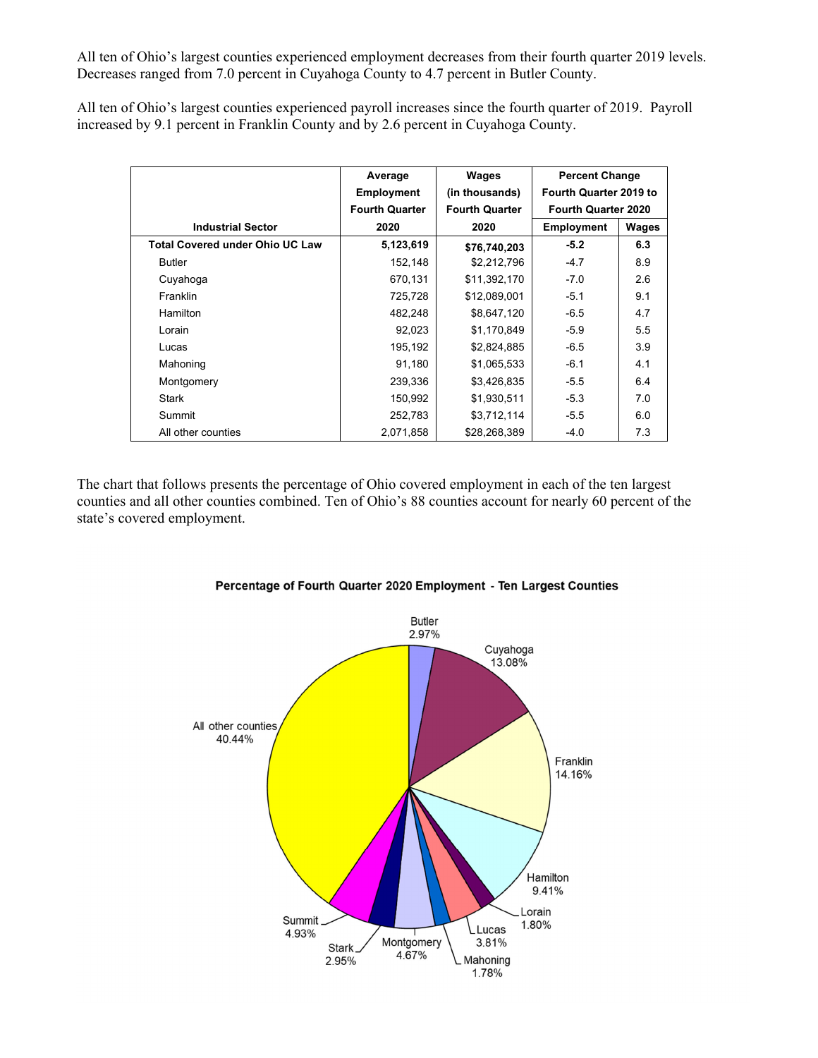All ten of Ohio's largest counties experienced employment decreases from their fourth quarter 2019 levels. Decreases ranged from 7.0 percent in Cuyahoga County to 4.7 percent in Butler County.

All ten of Ohio's largest counties experienced payroll increases since the fourth quarter of 2019. Payroll increased by 9.1 percent in Franklin County and by 2.6 percent in Cuyahoga County.

|                                        | Average               | Wages                 | <b>Percent Change</b>      |       |
|----------------------------------------|-----------------------|-----------------------|----------------------------|-------|
|                                        | <b>Employment</b>     | (in thousands)        | Fourth Quarter 2019 to     |       |
|                                        | <b>Fourth Quarter</b> | <b>Fourth Quarter</b> | <b>Fourth Quarter 2020</b> |       |
| <b>Industrial Sector</b>               | 2020                  | 2020                  | <b>Employment</b>          | Wages |
| <b>Total Covered under Ohio UC Law</b> | 5,123,619             | \$76,740,203          | $-5.2$                     | 6.3   |
| <b>Butler</b>                          | 152,148               | \$2,212,796           | $-4.7$                     | 8.9   |
| Cuyahoga                               | 670,131               | \$11,392,170          | $-7.0$                     | 2.6   |
| Franklin                               | 725,728               | \$12,089,001          | $-5.1$                     | 9.1   |
| <b>Hamilton</b>                        | 482,248               | \$8,647,120           | $-6.5$                     | 4.7   |
| Lorain                                 | 92,023                | \$1,170,849           | $-5.9$                     | 5.5   |
| Lucas                                  | 195,192               | \$2,824,885           | $-6.5$                     | 3.9   |
| Mahoning                               | 91,180                | \$1,065,533           | $-6.1$                     | 4.1   |
| Montgomery                             | 239,336               | \$3,426,835           | $-5.5$                     | 6.4   |
| <b>Stark</b>                           | 150,992               | \$1,930,511           | $-5.3$                     | 7.0   |
| Summit                                 | 252,783               | \$3,712,114           | $-5.5$                     | 6.0   |
| All other counties                     | 2,071,858             | \$28,268,389          | $-4.0$                     | 7.3   |

The chart that follows presents the percentage of Ohio covered employment in each of the ten largest counties and all other counties combined. Ten of Ohio's 88 counties account for nearly 60 percent of the state's covered employment.



## Percentage of Fourth Quarter 2020 Employment - Ten Largest Counties